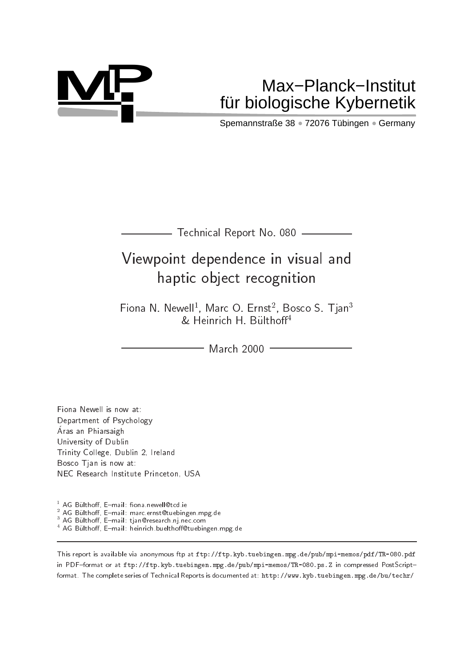

# **MP** Max−Planck−Institut fu¨r biologische Kybernetik

Spemannstraße 38 · 72076 Tübingen · Germany

| Technical Report No. 080 |  |  |  |  |
|--------------------------|--|--|--|--|
|--------------------------|--|--|--|--|

# Viewpoint dependence in visual and haptic object recognition

Fiona N. Newell , Marc O. Ernst , Dosco S. Tian<sup>3</sup>  $\alpha$  Heinrich H. Buithoff  $\sim$ 

- March 2000 -

Fiona Newell is now at: Department of Psychology Aras an Thiaisaigh University of Dublin Trinity College, Dublin 2, Ireland Bosco Tjan is now at: NEC Research Institute Princeton, USA

<sup>1</sup> AG Bülthoff, E-mail: fiona.newell@tcd.ie

 $^2$  AG Bülthoff, E–mail: marc.ernst@tuebingen.mpg.de

. AG Bulthoff, E-mail: tjan@research.nj.nec.com

AG Bulthoff, E-mail: heinrich.buelthoff@tuebingen.mpg.de

This report is available via anonymous ftp at ftp://ftp.kyb.tuebingen.mpg.de/pub/mpi-memos/pdf/TR-080.pdf in PDF-format or at ftp://ftp.kyb.tuebingen.mpg.de/pub/mpi-memos/TR-080.ps.Z in compressed PostScriptformat. The complete series of Technical Reports is documented at: http://www.kyb.tuebingen.mpg.de/bu/techr/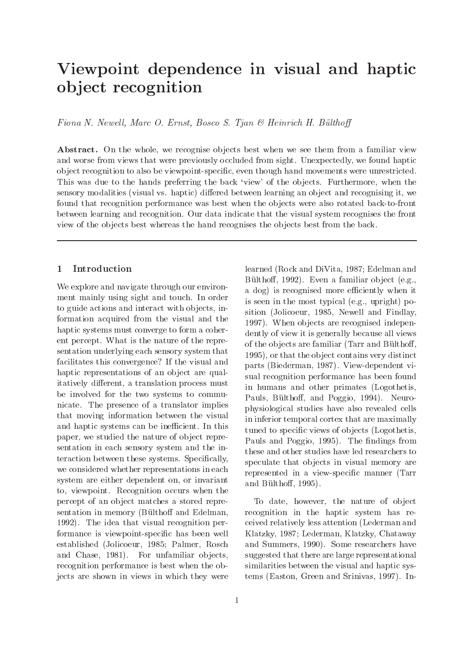## Viewpoint dependence in visual and haptic ob ject recognition

Fiona N. Newell, Marc O. Ernst, Bosco S. Tjan  $\mathcal B$  Heinrich H. Bülthoff

Abstract. On the whole, we recognise objects best when we see them from a familiar view and worse from views that were previously occluded from sight. Unexpectedly, we found haptic ob ject recognition to also be viewpoint-specic, even though hand movements were unrestricted. This was due to the hands preferring the back 'view' of the objects. Furthermore, when the sensory modalities (visual vs. haptic) differed between learning an object and recognising it, we found that recognition performance was best when the objects were also rotated back-to-front between learning and recognition. Our data indicate that the visual system recognises the front view of the objects best whereas the hand recognises the objects best from the back.

## 1 Introduction

We explore and navigate through our environment mainly using sight and touch. In order to guide actions and interact with objects, information acquired from the visual and the haptic systems must converge to form a coherent percept. What is the nature of the representation underlying each sensory system that facilitates this convergence? If the visual and haptic representations of an object are qualitatively different, a translation process must be involved for the two systems to communicate. The presence of a translator implies that moving information between the visual and haptic systems can be inefficient. In this paper, we studied the nature of object representation in each sensory system and the interaction between these systems. Specically, we considered whether representations in each system are either dependent on, or invariant to, viewpoint. Recognition occurs when the percept of an object matches a stored representation in memory (Bülthoff and Edelman, 1992). The idea that visual recognition performance is viewpoint-specic has been well established (Jolicoeur, 1985; Palmer, Rosch and Chase, 1981). For unfamiliar objects, recognition performance is best when the objects are shown in views in which they were

a dog) is recognised more efficiently when it is seen in the most typical (e.g., upright) position (Jolicoeur, 1985, Newell and Findlay, 1997). When objects are recognised independently of view it is generally because all views of the objects are familiar (Tarr and Bülthoff, 1995), or that the ob ject contains very distinct parts (Biederman, 1987). View-dependent visual recognition performance has been found in humans and other primates (Logothetis, Pauls, Bülthoff, and Poggio, 1994). Neurophysiological studies have also revealed cells in inferior temporal cortex that are maximally tuned to specific views of objects (Logothetis, Pauls and Poggio, 1995). The findings from these and other studies have led researchers to speculate that objects in visual memory are represented in a view-specic manner (Tarr and Bülthoff, 1995). To date, however, the nature of object

learned (Rock and DiVita, 1987; Edelman and Bülthoff, 1992). Even a familiar object (e.g.,

recognition in the haptic system has received relatively less attention (Lederman and Klatzky, 1987; Lederman, Klatzky, Chataway and Summers, 1990). Some researchers have suggested that there are large representational similarities between the visual and haptic systems (Easton, Green and Srinivas, 1997). In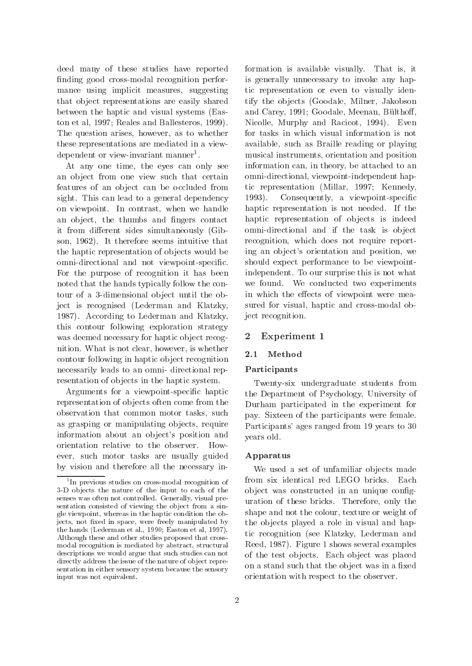deed many of these studies have reported nding good cross-modal recognition performance using implicit measures, suggesting that object representations are easily shared between the haptic and visual systems (Easton et al, 1997; Reales and Ballesteros, 1999). The question arises, however, as to whether these representations are mediated in a viewdependent or view-invariant manner.

At any one time, the eyes can only see an object from one view such that certain features of an object can be occluded from sight. This can lead to a general dependency 1993). on viewpoint. In contrast, when we handle an object, the thumbs and fingers contact it from different sides simultaneously (Gibson, 1962). It therefore seems intuitive that the haptic representation of objects would be omni-directional and not viewpoint-specic. For the purpose of recognition it has been noted that the hands typically follow the contour of a 3-dimensional object until the object is recognised (Lederman and Klatzky, 1987). According to Lederman and Klatzky, this contour following exploration strategy was deemed necessary for haptic object recognition. What is not clear, however, is whether 2.1 contour following in haptic object recognition necessarily leads to an omni- directional representation of objects in the haptic system.

Arguments for a viewpoint-specic haptic representation of objects often come from the observation that common motor tasks, such as grasping or manipulating objects, require information about an object's position and orientation relative to the observer. However, such motor tasks are usually guided by vision and therefore all the necessary in-

formation is available visually. That is, it is generally unnecessary to invoke any haptic representation or even to visually identify the ob jects (Goodale, Milner, Jakobson and Carey, 1991; Goodale, Meenan, Bülthoff, Nicolle, Murphy and Racicot, 1994). Even for tasks in which visual information is not available, such as Braille reading or playing musical instruments, orientation and position information can, in theory, be attached to an omni-directional, viewpoint-independent haptic representation (Millar, 1997; Kennedy, Consequently, a viewpoint-specific haptic representation is not needed. If the haptic representation of objects is indeed omni-directional and if the task is object recognition, which does not require reporting an object's orientation and position, we should expect performance to be viewpointindependent. To our surprise this is not what we found. We conducted two experiments in which the effects of viewpoint were measured for visual, haptic and cross-modal object recognition.

#### 2 Experiment 1

#### Method

#### Participants

Twenty-six undergraduate students from the Department of Psychology, University of Durham participated in the experiment for pay. Sixteen of the participants were female. Participants' ages ranged from 19 years to 30 years old.

#### Apparatus

We used a set of unfamiliar objects made from six identical red LEGO bricks. Each object was constructed in an unique configuration of these bricks. Therefore, only the shape and not the colour, texture or weight of the objects played a role in visual and haptic recognition (see Klatzky, Lederman and Reed, 1987). Figure 1 shows several examples of the test objects. Each object was placed on a stand such that the object was in a fixed orientation with respect to the observer.

<sup>1</sup> In previous studies on cross-modal recognition of 3-D ob jects the nature of the input to each of the senses was often not controlled. Generally, visual pre sentation consisted of viewing the object from a single viewpoint, whereas in the haptic condition the objects, not fixed in space, were freely manipulated by the hands (Lederman et al., 1990; Easton et al, 1997). Although these and other studies proposed that crossmodal recognition is mediated by abstract, structural descriptions we would argue that such studies can not directly address the issue of the nature of ob ject repre sentation in either sensory system because the sensory input was not equivalent.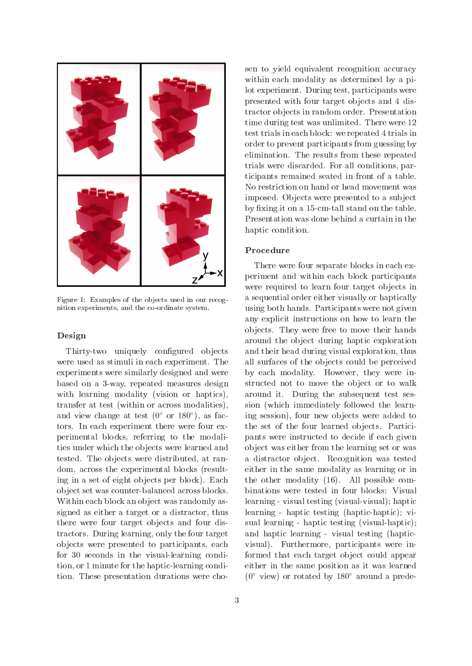

Figure 1: Examples of the objects used in our recognition experiments, and the co-ordinate system.

#### Design

Thirty-two uniquely configured objects were used as stimuli in each experiment. The experiments were similarly designed and were based on a 3-way, repeated measures design with learning modality (vision or haptics), transfer at test (within or across modalities), and view change at test (0 or 180 ), as factors. In each experiment there were four experimental blocks, referring to the modalities under which the objects were learned and tested. The objects were distributed, at random, across the experimental blocks (resulting in a set of eight objects per block). Each ob ject set was counter-balanced across blocks. Within each block an object was randomly assigned as either a target or a distractor, thus there were four target objects and four distractors. During learning, only the four target ob jects were presented to participants, each for 30 seconds in the visual-learning condition, or 1 minute for the haptic-learning condition. These presentation durations were chosen to yield equivalent recognition accuracy within each modality as determined by a pilot experiment. During test, participants were presented with four target objects and 4 distractor ob jects in random order. Presentation time during test was unlimited. There were 12 test trials in each block: we repeated 4 trials in order to prevent participants from guessing by elimination. The results from these repeated trials were discarded. For all conditions, participants remained seated in front of a table. No restriction on hand or head movement was imposed. Objects were presented to a subject by fixing it on a 15-cm-tall stand on the table. Presentation was done behind a curtain in the haptic condition.

#### Procedure

There were four separate blocks in each experiment and within each block participants were required to learn four target objects in a sequential order either visually or haptically using both hands. Participants were not given any explicit instructions on how to learn the ob jects. They were free to move their hands around the object during haptic exploration and their head during visual exploration, thus all surfaces of the objects could be perceived by each modality. However, they were instructed not to move the object or to walk around it. During the subsequent test session (which immediately followed the learning session), four new objects were added to the set of the four learned objects. Participants were instructed to decide if each given ob ject was either from the learning set or was a distractor object. Recognition was tested either in the same modality as learning or in the other modality (16). All possible combinations were tested in four blocks: Visual learning - visual testing (visual-visual); haptic learning - haptic testing (haptic-haptic); visual learning - haptic testing (visual-haptic); and haptic learning - visual testing (hapticvisual). Furthermore, participants were informed that each target object could appear either in the same position as it was learned  $(0^{\circ}$  view) or rotated by 180 $^{\circ}$  around a prede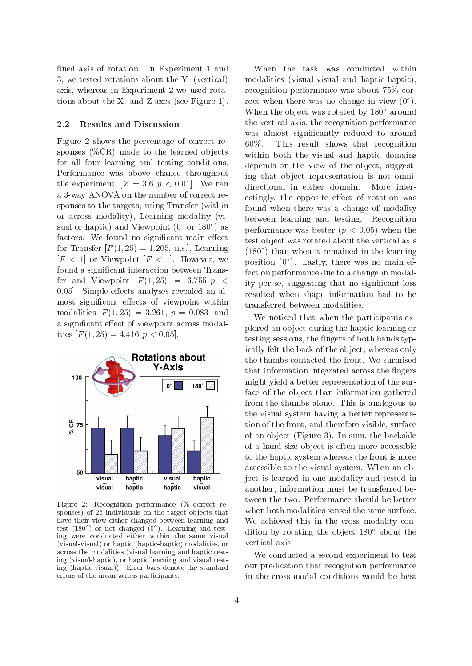fined axis of rotation. In Experiment 1 and 3, we tested rotations about the Y- (vertical) axis, whereas in Experiment 2 we used rotations about the X- and Z-axes (see Figure 1).

#### 2.2 Results and Discussion

Figure 2 shows the percentage of correct responses  $(\%CR)$  made to the learned objects for all four learning and testing conditions. Performance was above chance throughout the experiment,  $[Z = 3.6, p < 0.01]$ . We ran a 3-way ANOVA on the number of correct responses to the targets, using Transfer (within or across modality), Learning modality (visual or haptic) and viewpoint (0 or 180) as  $_{\text{DG}}$ factors. We found no significant main effect for Transfer  $[F(1, 25) = 1.205, n.s.]$ , Learning  $[F < 1]$  or Viewpoint  $[F < 1]$ . However, we found a signicant interaction between Transfer and Viewpoint  $\left|F(1,25)\right| = 6.755, p <$ 0.05]. Simple effects analyses revealed an almost significant effects of viewpoint within modalities  $[F(1, 25) = 3.261, p = 0.083]$  and a significant effect of viewpoint across modalities  $[F(1, 25) = 4.416, p < 0.05]$ .



Figure 2: Recognition performance (% correct re sponses) of 26 individuals on the target ob jects that have their view either changed between learning and test (180 ) or not changed (0 ). Learning and testing were conducted either within the same visual (visual-visual) or haptic (haptic-haptic) modalities, or across the modalities (visual learning and haptic testing (visual-haptic), or haptic learning and visual testing (haptic-visual)). Error bars denote the standard errors of the mean across participants.

When the task was conducted within modalities (visual-visual and haptic-haptic), recognition performance was about 75% correct when there was no change in view (0 ). When the object was rotated by  $180^\circ$  around the vertical axis, the recognition performance was almost significantly reduced to around 60%. This result shows that recognition within both the visual and haptic domains depends on the view of the object, suggesting that object representation is not omnidirectional in either domain. More interestingly, the opposite effect of rotation was found when there was a change of modality between learning and testing. Recognition performance was better  $(p < 0.05)$  when the test object was rotated about the vertical axis (180 ) than when it remained in the learning position (0 ). Lastly, there was no main effect on performance due to a change in modality per se, suggesting that no signicant loss resulted when shape information had to be transferred between modalities.

We noticed that when the participants explored an ob ject during the haptic learning or testing sessions, the fingers of both hands typically felt the back of the object, whereas only the thumbs contacted the front. We surmised that information integrated across the fingers might yield a better representation of the surface of the object than information gathered from the thumbs alone. This is analogous to the visual system having a better representation of the front, and therefore visible, surface of an ob ject (Figure 3). In sum, the backside of a hand-size ob ject is often more accessible to the haptic system whereas the front is more accessible to the visual system. When an object is learned in one modality and tested in another, information must be transferred between the two. Performance should be better when both modalities sensed the same surface. We achieved this in the cross modality condition by rotating the object  $180^{\circ}$  about the vertical axis.

We conducted a second experiment to test our predication that recognition performance in the cross-modal conditions would be best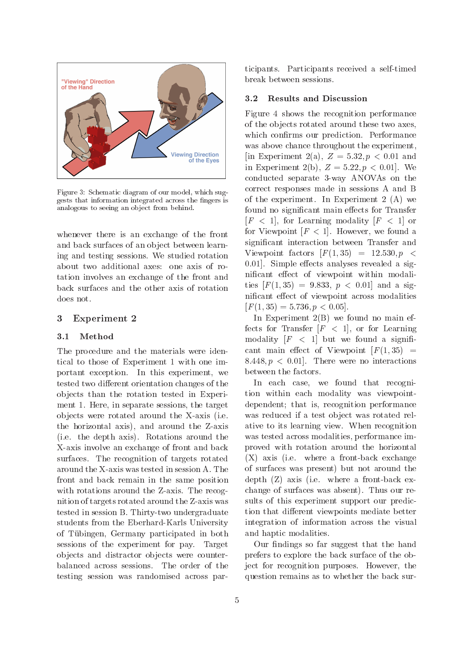

Figure 3: Schematic diagram of our model, which suggests that information integrated across the fingers is analogous to seeing an ob ject from behind.

whenever there is an exchange of the front and back surfaces of an object between learning and testing sessions. We studied rotation about two additional axes: one axis of rotation involves an exchange of the front and back surfaces and the other axis of rotation does not.

#### 3 Experiment 2

#### 3.1 Method

The procedure and the materials were identical to those of Experiment 1 with one important exception. In this experiment, we tested two different orientation changes of the ob jects than the rotation tested in Experiment 1. Here, in separate sessions, the target ob jects were rotated around the X-axis (i.e. the horizontal axis), and around the Z-axis (i.e. the depth axis). Rotations around the X-axis involve an exchange of front and back surfaces. The recognition of targets rotated around the X-axis was tested in session A. The front and back remain in the same position with rotations around the Z-axis. The recognition of targets rotated around the Z-axis was tested in session B. Thirty-two undergraduate students from the Eberhard-Karls University of Tubingen, Germany participated in both sessions of the experiment for pay. Target objects and distractor objects were counterbalanced across sessions. The order of the testing session was randomised across participants. Participants received a self-timed break between sessions.

#### Results and Discussion  $3.2$

Figure 4 shows the recognition performance of the ob jects rotated around these two axes, which confirms our prediction. Performance was above chance throughout the experiment, [in Experiment 2(a),  $Z = 5.32, p < 0.01$  and in Experiment 2(b),  $Z = 5.22, p < 0.01$ . We conducted separate 3-way ANOVAs on the correct responses made in sessions A and B of the experiment. In Experiment 2 (A) we found no significant main effects for Transfer  $[F \lt 1]$ , for Learning modality  $[F \lt 1]$  or for Viewpoint  $[F < 1]$ . However, we found a signicant interaction between Transfer and Viewpoint factors  $[F(1,35) = 12.530, p <$ 0.01. Simple effects analyses revealed a significant effect of viewpoint within modalities  $[F(1, 35) = 9.833, p < 0.01]$  and a significant effect of viewpoint across modalities  $[F(1, 35) = 5.736, p < 0.05].$ 

In Experiment  $2(B)$  we found no main effects for Transfer  $[F \leq 1]$ , or for Learning modality  $[F \leq 1]$  but we found a significant main effect of Viewpoint  $[F(1,35)] =$ 8.448,  $p < 0.01$ . There were no interactions between the factors.

In each case, we found that recognition within each modality was viewpointdependent; that is, recognition performance was reduced if a test object was rotated relative to its learning view. When recognition was tested across modalities, performance improved with rotation around the horizontal (X) axis (i.e. where a front-back exchange of surfaces was present) but not around the depth (Z) axis (i.e. where a front-back exchange of surfaces was absent). Thus our results of this experiment support our prediction that different viewpoints mediate better integration of information across the visual and haptic modalities.

Our findings so far suggest that the hand prefers to explore the back surface of the object for recognition purposes. However, the question remains as to whether the back sur-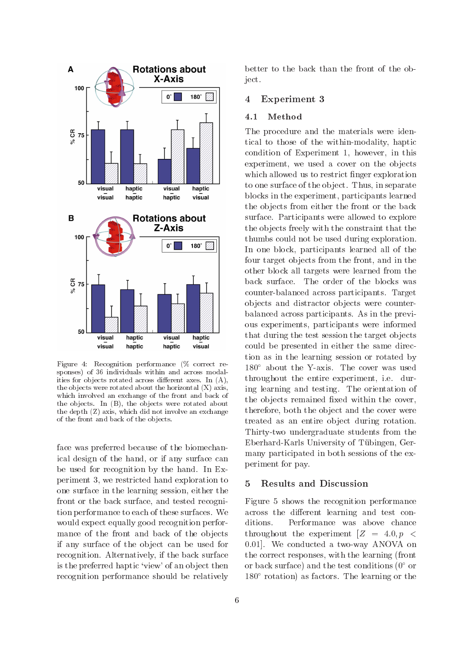

Figure 4: Recognition performance (% correct re sponses) of 36 individuals within and across modalities for objects rotated across different axes. In  $(A)$ , the objects were rotated about the horizontal  $(X)$  axis, which involved an exchange of the front and back of the ob jects. In (B), the ob jects were rotated about the depth (Z) axis, which did not involve an exchange of the front and back of the ob jects.

face was preferred because of the biomechanical design of the hand, or if any surface can be used for recognition by the hand. In Experiment 3, we restricted hand exploration to  $5$ one surface in the learning session, either the front or the back surface, and tested recognition performance to each of these surfaces. We would expect equally good recognition performance of the front and back of the objects if any surface of the object can be used for recognition. Alternatively, if the back surface is the preferred haptic 'view' of an object then recognition performance should be relatively

better to the back than the front of the object.

#### 4 Experiment 3

#### 4.1 Method

The procedure and the materials were identical to those of the within-modality, haptic condition of Experiment 1, however, in this experiment, we used a cover on the objects which allowed us to restrict finger exploration to one surface of the object. Thus, in separate blocks in the experiment, participants learned the objects from either the front or the back surface. Participants were allowed to explore the objects freely with the constraint that the thumbs could not be used during exploration. In one block, participants learned all of the four target objects from the front, and in the other block all targets were learned from the back surface. The order of the blocks was counter-balanced across participants. Target ob jects and distractor ob jects were counterbalanced across participants. As in the previous experiments, participants were informed that during the test session the target objects could be presented in either the same direction as in the learning session or rotated by  $180^\circ$  about the Y-axis. The cover was used throughout the entire experiment, i.e. during learning and testing. The orientation of the objects remained fixed within the cover, therefore, both the object and the cover were treated as an entire object during rotation. Thirty-two undergraduate students from the Eberhard-Karls University of Tubingen, Germany participated in both sessions of the experiment for pay.

### **Results and Discussion**

Figure 5 shows the recognition performance across the different learning and test conditions. Performance was above chance throughout the experiment  $Z = 4.0, p <$ 0:01]. We conducted a two-way ANOVA on the correct responses, with the learning (front or back surface) and the test conditions  $(0^{\circ}$  or  $180^\circ$  rotation) as factors. The learning or the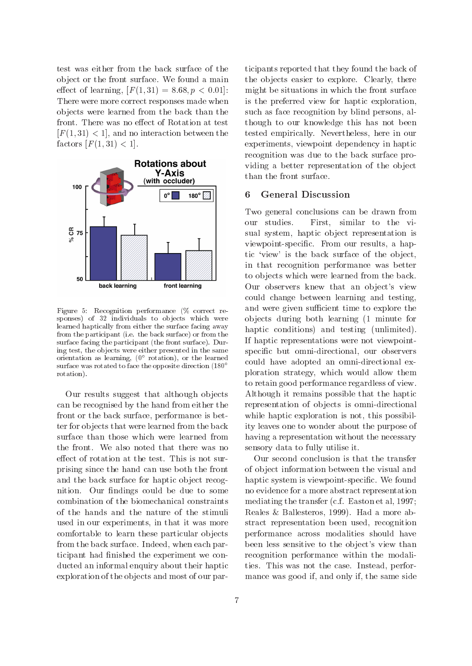test was either from the back surface of the ob ject or the front surface. We found a main effect of learning,  $[F(1, 31) = 8.68, p < 0.01]$ : There were more correct responses made when ob jects were learned from the back than the front. There was no effect of Rotation at test  $[F(1, 31) < 1]$ , and no interaction between the factors  $[F(1, 31) < 1]$ .



Figure 5: Recognition performance (% correct re sponses) of 32 individuals to objects which were learned haptically from either the surface facing away from the participant (i.e. the back surface) or from the surface facing the participant (the front surface). During test, the ob jects were either presented in the same orientation as learning, (0 rotation), or the learned arrival controller surface was rotated to face the opposite direction (180<sup>°</sup> rotation).

Our results suggest that although objects can be recognised by the hand from either the front or the back surface, performance is better for objects that were learned from the back surface than those which were learned from the front. We also noted that there was no effect of rotation at the test. This is not surprising since the hand can use both the front and the back surface for haptic object recognition. Our findings could be due to some combination of the biomechanical constraints of the hands and the nature of the stimuli used in our experiments, in that it was more comfortable to learn these particular objects from the back surface. Indeed, when each participant had finished the experiment we conducted an informal enquiry about their haptic exploration of the objects and most of our par-

ticipants reported that they found the back of the objects easier to explore. Clearly, there might be situations in which the front surface is the preferred view for haptic exploration, such as face recognition by blind persons, although to our knowledge this has not been tested empirically. Nevertheless, here in our experiments, viewpoint dependency in haptic recognition was due to the back surface providing a better representation of the object than the front surface.

#### 6 General Discussion 6

Two general conclusions can be drawn from our studies. First, similar to the visual system, haptic object representation is viewpoint-specic. From our results, a haptic 'view' is the back surface of the object, in that recognition performance was better to objects which were learned from the back. Our observers knew that an object's view could change between learning and testing, and were given sufficient time to explore the ob jects during both learning (1 minute for haptic conditions) and testing (unlimited). If haptic representations were not viewpointspecic but omni-directional, our observers could have adopted an omni-directional exploration strategy, which would allow them to retain good performance regardless of view. Although it remains possible that the haptic representation of objects is omni-directional while haptic exploration is not, this possibility leaves one to wonder about the purpose of having a representation without the necessary sensory data to fully utilise it.

Our second conclusion is that the transfer of ob ject information between the visual and haptic system is viewpoint-specific. We found no evidence for a more abstract representation mediating the transfer (c.f. Easton et al, 1997; Reales & Ballesteros, 1999). Had a more abstract representation been used, recognition performance across modalities should have been less sensitive to the object's view than recognition performance within the modalities. This was not the case. Instead, performance was good if, and only if, the same side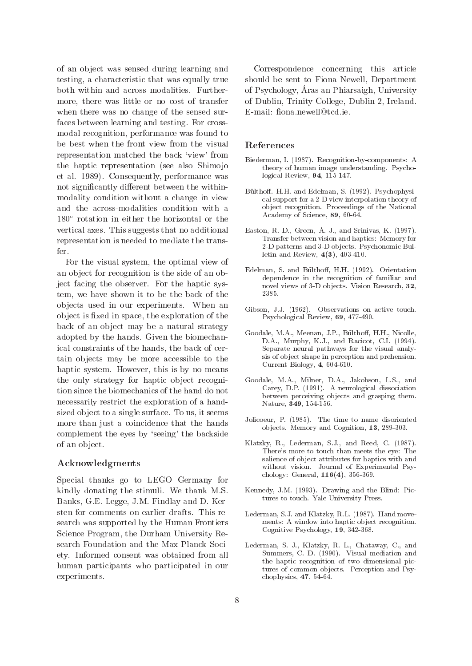of an ob ject was sensed during learning and testing, a characteristic that was equally true both within and across modalities. Furthermore, there was little or no cost of transfer when there was no change of the sensed surfaces between learning and testing. For crossmodal recognition, performance was found to be best when the front view from the visual representation matched the back `view' from the haptic representation (see also Shimojo et al. 1989). Consequently, performance was not significantly different between the withinmodality condition without a change in view and the across-modalities condition with a  $180^\circ$  rotation in either the horizontal or the vertical axes. This suggests that no additional representation is needed to mediate the transfer.

For the visual system, the optimal view of an object for recognition is the side of an object facing the observer. For the haptic system, we have shown it to be the back of the ob jects used in our experiments. When an object is fixed in space, the exploration of the back of an object may be a natural strategy adopted by the hands. Given the biomechanical constraints of the hands, the back of certain objects may be more accessible to the haptic system. However, this is by no means the only strategy for haptic object recognition since the biomechanics of the hand do not necessarily restrict the exploration of a handsized object to a single surface. To us, it seems more than just a coincidence that the hands complement the eyes by `seeing' the backside of an ob ject.

#### Acknowledgments

Special thanks go to LEGO Germany for kindly donating the stimuli. We thank M.S. Banks, G.E. Legge, J.M. Findlay and D. Kersten for comments on earlier drafts. This research was supported by the Human Frontiers Science Program, the Durham University Research Foundation and the Max-Planck Society. Informed consent was obtained from all human participants who participated in our experiments.

Correspondence concerning this article should be sent to Fiona Newell, Department of I sychology, Aras all I matsaigh, University of Dublin, Trinity College, Dublin 2, Ireland. E-mail: fiona.newell@tcd.ie.

#### References

- Biederman, I. (1987). Recognition-by-components: A theory of human image understanding. Psychological Review, 94, 115-147.
- Bülthoff. H.H. and Edelman, S. (1992). Psychophysical support for a 2-D view interpolation theory of ob ject recognition. Proceedings of the National Academy of Science, 89, 60-64.
- Easton, R. D., Green, A. J., and Srinivas, K. (1997). Transfer between vision and haptics: Memory for 2-D patterns and 3-D ob jects. Psychonomic Bulletin and Review, 4(3), 403-410.
- Edelman, S. and Bülthoff, H.H. (1992). Orientation dependence in the recognition of familiar and novel views of 3-D objects. Vision Research, 32,
- Gibson, J.J. (1962). Observations on active touch. Psychological Review, 69, 477-490.
- Goodale, M.A., Meenan, J.P., Bülthoff, H.H., Nicolle, D.A., Murphy, K.J., and Racicot, C.I. (1994). Separate neural pathways for the visual analysis of ob ject shape in perception and prehension. Current Biology, 4, 604-610.
- Goodale, M.A., Milner, D.A., Jakobson, L.S., and Carey, D.P. (1991). A neurological dissociation between perceiving ob jects and grasping them. Nature, 349, 154-156.
- Jolicoeur, P. (1985). The time to name disoriented ob jects. Memory and Cognition, 13, 289-303.
- Klatzky, R., Lederman, S.J., and Reed, C. (1987). There's more to touch than meets the eye: The salience of ob ject attributes for haptics with and without vision. Journal of Experimental Psy chology: General, 116(4), 356-369.
- Kennedy, J.M. (1993). Drawing and the Blind: Pictures to touch. Yale University Press.
- Lederman, S.J. and Klatzky, R.L. (1987). Hand move ments: A window into haptic ob ject recognition. Cognitive Psychology, 19, 342-368.
- Lederman, S. J., Klatzky, R. L., Chataway, C., and Summers, C. D. (1990). Visual mediation and the haptic recognition of two dimensional pictures of common ob jects. Perception and Psy chophysics, 47, 54-64.